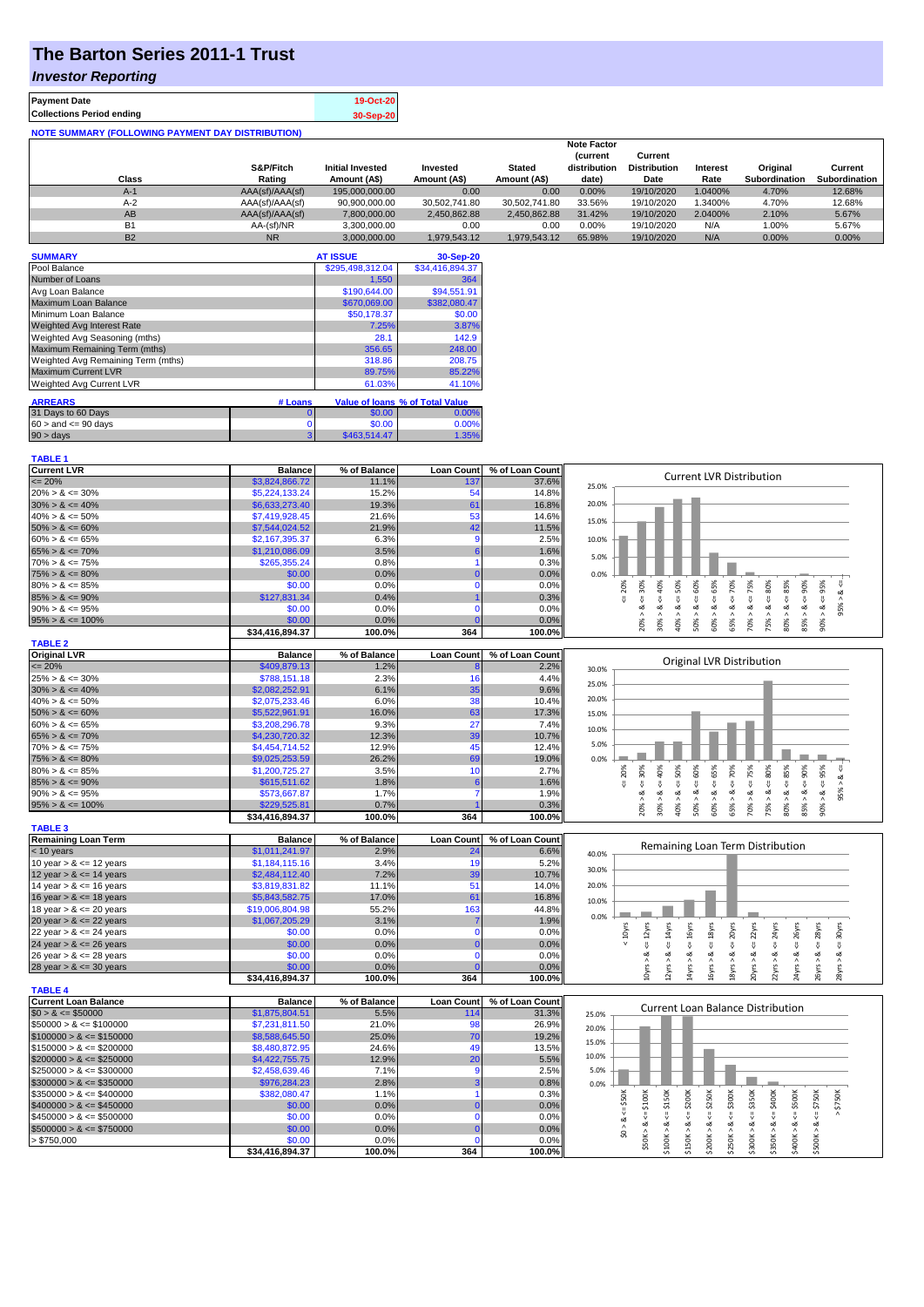# **The Barton Series 2011-1 Trust**

### *Investor Reporting*

| <b>Payment Date</b>                                      | 19-Oct-20 |
|----------------------------------------------------------|-----------|
| <b>Collections Period ending</b>                         | 30-Sep-20 |
| <b>NOTE SUMMARY (FOLLOWING PAYMENT DAY DISTRIBUTION)</b> |           |

|           |                 |                         |               |               | <b>Note Factor</b> |                     |                 |                      |               |
|-----------|-----------------|-------------------------|---------------|---------------|--------------------|---------------------|-----------------|----------------------|---------------|
|           |                 |                         |               |               | <b>Current</b>     | Current             |                 |                      |               |
|           | S&P/Fitch       | <b>Initial Invested</b> | Invested      | <b>Stated</b> | distribution       | <b>Distribution</b> | <b>Interest</b> | Original             | Current       |
| Class     | Rating          | Amount (A\$)            | Amount (A\$)  | Amount (A\$)  | date)              | Date                | Rate            | <b>Subordination</b> | Subordination |
| $A-1$     | AAA(sf)/AAA(sf) | 195,000,000.00          | 0.00          | 0.00          | 0.00%              | 19/10/2020          | .0400%          | 4.70%                | 12.68%        |
| $A-2$     | AAA(sf)/AAA(sf) | 90,900,000.00           | 30.502.741.80 | 30.502.741.80 | 33.56%             | 19/10/2020          | .3400%          | 4.70%                | 12.68%        |
| AB        | AAA(sf)/AAA(sf) | 7.800.000.00            | 2.450.862.88  | 2.450.862.88  | 31.42%             | 19/10/2020          | 2.0400%         | 2.10%                | 5.67%         |
| <b>B1</b> | AA-(sf)/NR      | 3.300.000.00            | 0.00          | 0.00          | 0.00%              | 19/10/2020          | N/A             | 1.00%                | 5.67%         |
| <b>B2</b> | <b>NR</b>       | 3.000.000.00            | 1.979.543.12  | 1.979.543.12  | 65.98%             | 19/10/2020          | N/A             | 0.00%                | 0.00%         |

| <b>SUMMARY</b>                     |          | <b>AT ISSUE</b>  | 30-Sep-20                       |
|------------------------------------|----------|------------------|---------------------------------|
| Pool Balance                       |          | \$295,498,312.04 | \$34,416,894.37                 |
| Number of Loans                    |          | 1,550            | 364                             |
| Avg Loan Balance                   |          | \$190,644.00     | \$94,551.91                     |
| Maximum Loan Balance               |          | \$670,069.00     | \$382,080.47                    |
| Minimum Loan Balance               |          | \$50.178.37      | \$0.00                          |
| <b>Weighted Avg Interest Rate</b>  |          | 7.25%            | 3.87%                           |
| Weighted Avg Seasoning (mths)      |          | 28.1             | 142.9                           |
| Maximum Remaining Term (mths)      |          | 356.65           | 248.00                          |
| Weighted Avg Remaining Term (mths) |          | 318.86           | 208.75                          |
| <b>Maximum Current LVR</b>         |          | 89.75%           | 85.22%                          |
| <b>Weighted Avg Current LVR</b>    |          | 61.03%           | 41.10%                          |
| <b>ARREARS</b>                     | # Loans  |                  | Value of Ioans % of Total Value |
| 31 Days to 60 Days                 | $\Omega$ | \$0.00           | 0.00%                           |
| $60 >$ and $\leq 90$ days          | 0        | \$0.00           | 0.00%                           |
| $90 > \text{days}$                 | 3        | \$463,514.47     | 1.35%                           |

| <b>TABLE 1</b>              |                 |              |                   |                 |                                                                                                                                                                                                                     |
|-----------------------------|-----------------|--------------|-------------------|-----------------|---------------------------------------------------------------------------------------------------------------------------------------------------------------------------------------------------------------------|
| <b>Current LVR</b>          | <b>Balance</b>  | % of Balance | <b>Loan Count</b> | % of Loan Count |                                                                                                                                                                                                                     |
| $\epsilon = 20\%$           | \$3,824,866.72  | 11.1%        | 137               | 37.6%           | <b>Current LVR Distribution</b><br>25.0%                                                                                                                                                                            |
| $20\% > 8 \le 30\%$         | \$5,224,133.24  | 15.2%        | 54                | 14.8%           |                                                                                                                                                                                                                     |
| $30\% > 8 \le 40\%$         | \$6,633,273.40  | 19.3%        | 61                | 16.8%           | 20.0%                                                                                                                                                                                                               |
| $40\% > 8 \le 50\%$         | \$7,419,928.45  | 21.6%        | 53                | 14.6%           |                                                                                                                                                                                                                     |
| $50\% > 8 \le 60\%$         | \$7,544,024.52  | 21.9%        | 42                | 11.5%           | 15.0%                                                                                                                                                                                                               |
| $60\% > 8 \le 65\%$         | \$2,167,395.37  | 6.3%         | Q                 | 2.5%            | 10.0%                                                                                                                                                                                                               |
| $65\% > 8 \le 70\%$         | \$1,210,086.09  | 3.5%         | 6                 | 1.6%            |                                                                                                                                                                                                                     |
| $70\% > 8 \le 75\%$         | \$265,355.24    | 0.8%         |                   | 0.3%            | 5.0%                                                                                                                                                                                                                |
| $75\% > 8 \le 80\%$         | \$0.00          | 0.0%         |                   | 0.0%            | 0.0%                                                                                                                                                                                                                |
| $80\% > 8 \le 85\%$         | \$0.00          | 0.0%         | $\Omega$          | 0.0%            | $\leq 50\%$<br>$4 = 70\%$<br>$4 = 30\%$<br>20%<br>8 <                                                                                                                                                               |
| $85\% > 8 \le 90\%$         | \$127,831.34    | 0.4%         |                   | 0.3%            | $8 - 40%$<br>$4 = 75%$<br>$8 - 80%$<br>ű                                                                                                                                                                            |
| $90\% > 8 \le 95\%$         | \$0.00          | 0.0%         | n                 | 0.0%            | 95%<br>ઌૻ<br>ż<br>$\dot{\infty}$<br>ઌ                                                                                                                                                                               |
| $95\% > 8 \le 100\%$        | \$0.00          | 0.0%         |                   | 0.0%            | $50\% > 8 < = 60\%$<br>$60\% > 8 \leq 65\%$<br>$90\% > 8 <= 95\%$<br>$80\% > 8.4 = 85\%$<br>$85% > 8 <= 90%$<br>$30\% >$<br>65% > i<br>70% > 3<br>Λ<br>40% ><br>75% >                                               |
|                             | \$34,416,894.37 | 100.0%       | 364               | 100.0%          | 20%                                                                                                                                                                                                                 |
| <b>TABLE 2</b>              |                 |              |                   |                 |                                                                                                                                                                                                                     |
| <b>Original LVR</b>         | <b>Balance</b>  | % of Balance | <b>Loan Count</b> | % of Loan Count |                                                                                                                                                                                                                     |
| $= 20%$                     | \$409,879.13    | 1.2%         |                   | 2.2%            | Original LVR Distribution<br>30.0%                                                                                                                                                                                  |
| $25\% > 8 \le 30\%$         | \$788,151.18    | 2.3%         | 16                | 4.4%            |                                                                                                                                                                                                                     |
| $30\% > 8 \le 40\%$         | \$2,082,252.91  | 6.1%         | 35                | 9.6%            | 25.0%                                                                                                                                                                                                               |
| $40\% > 8 \le 50\%$         | \$2,075,233.46  | 6.0%         | 38                | 10.4%           | 20.0%                                                                                                                                                                                                               |
| $50\% > 8 \le 60\%$         | \$5,522,961.91  | 16.0%        | 63                | 17.3%           | 15.0%                                                                                                                                                                                                               |
| $60\% > 8 \le 65\%$         | \$3,208,296.78  | 9.3%         | 27                | 7.4%            | 10.0%                                                                                                                                                                                                               |
| $65\% > 8 \le 70\%$         | \$4,230,720.32  | 12.3%        | 39                | 10.7%           |                                                                                                                                                                                                                     |
| $70\% > 8 \le 75\%$         | \$4,454,714.52  | 12.9%        | 45                | 12.4%           | 5.0%                                                                                                                                                                                                                |
| $75\% > 8 \le 80\%$         | \$9,025,253.59  | 26.2%        | 69                | 19.0%           | 0.0%                                                                                                                                                                                                                |
| $80\% > 8 \le 85\%$         | \$1,200,725.27  | 3.5%         | 10                | 2.7%            | 70%<br>95%<br>30%<br>50%<br>75%<br>20%<br>₩                                                                                                                                                                         |
| $85\% > 8 \le 90\%$         | \$615,511.62    | 1.8%         | 6                 | 1.6%            | $<=80\%$<br>$8 - 90%$<br>$8 - 40%$<br>95% > 8.<br>IJ<br>쁬<br>V                                                                                                                                                      |
| $90\% > 8 \le 95\%$         | \$573,667.87    | 1.7%         |                   | 1.9%            | $8 - 5$<br>8 < 1<br>$\dot{\infty}$<br>∞                                                                                                                                                                             |
| $95\% > 8 \le 100\%$        | \$229,525.81    | 0.7%         |                   | 0.3%            | $50\% > 8 \le 60\%$<br>$60\% > 8 \leq 65\%$<br>$80\% > 8 <= 85\%$<br>$70\% > 8 <=$<br>85% ><br>90% ><br>20% ><br>$30\%$ $>$<br>$40\%$ $>$<br>65% ><br>75% >                                                         |
|                             | \$34,416,894.37 | 100.0%       | 364               | 100.0%          |                                                                                                                                                                                                                     |
| <b>TABLE 3</b>              |                 |              |                   |                 |                                                                                                                                                                                                                     |
| <b>Remaining Loan Term</b>  | <b>Balance</b>  | % of Balance | <b>Loan Count</b> | % of Loan Count |                                                                                                                                                                                                                     |
| < 10 years                  | \$1,011,241.97  | 2.9%         | 24                | 6.6%            | Remaining Loan Term Distribution<br>40.0%                                                                                                                                                                           |
| 10 year $> 8 \le 12$ years  | \$1,184,115.16  | 3.4%         | 19                | 5.2%            |                                                                                                                                                                                                                     |
| 12 year $> 8 \le 14$ years  | \$2,484,112.40  | 7.2%         | 39                | 10.7%           | 30.0%                                                                                                                                                                                                               |
| 14 year $> 8 \le 16$ years  | \$3,819,831.82  | 11.1%        | 51                | 14.0%           | 20.0%                                                                                                                                                                                                               |
| 16 year $> 8 \le 18$ years  | \$5,843,582.75  | 17.0%        | 61                | 16.8%           | 10.0%                                                                                                                                                                                                               |
| 18 year $> 8 \le 20$ years  | \$19,006,804.98 | 55.2%        | 163               | 44.8%           |                                                                                                                                                                                                                     |
| 20 year $> 8 \le 22$ years  | \$1,067,205.29  | 3.1%         |                   | 1.9%            | 0.0%                                                                                                                                                                                                                |
| 22 year $> 8 \le 24$ years  | \$0.00          | 0.0%         | $\mathbf 0$       | 0.0%            | $\leq$ = 22 $\gamma$ rs<br>$\leq 20$ yrs<br>$\leq$ 14yrs<br>$\leq 16$ yrs<br>$\leq$ = 18 $yrs$<br>$\leq$ = 24yrs<br>$\leq$ = 28 $\gamma$ rs<br>$\leq$ 30 $\gamma$ rs<br>$\leq 12$ yrs<br>$\leq$ 26yrs<br>$< 10$ yrs |
| 24 year $> 8 \le 26$ years  | \$0.00          | 0.0%         |                   | 0.0%            |                                                                                                                                                                                                                     |
| 26 year $> 8 \le 28$ years  | \$0.00          | 0.0%         | $\Omega$          | 0.0%            | ಷ<br>ಷ                                                                                                                                                                                                              |
| 28 year $> 8 \le 30$ years  | \$0.00          | 0.0%         |                   | 0.0%            | 10yrs > 8<br>14yrs > 8<br>18yrs > 8<br>24yrs > 8.<br>L6yrs >                                                                                                                                                        |
|                             | \$34,416,894.37 | 100.0%       | 364               | 100.0%          | 20yrs > 8<br>22yrs > 8<br>26yrs > 8<br>28yrs > 8<br>12yrs > i                                                                                                                                                       |
| <b>TABLE 4</b>              |                 |              |                   |                 |                                                                                                                                                                                                                     |
| <b>Current Loan Balance</b> | <b>Balance</b>  | % of Balance | <b>Loan Count</b> | % of Loan Count |                                                                                                                                                                                                                     |
| $$0 > 8 \le $50000$         | \$1,875,804.51  | 5.5%         | 114               | 31.3%           | <b>Current Loan Balance Distribution</b><br>25.0%                                                                                                                                                                   |
| $$50000 > 8 \le $100000$    | \$7,231,811.50  | 21.0%        | 98                | 26.9%           | 20.0%                                                                                                                                                                                                               |
| $$100000 > 8 \leq $150000$  | \$8,588,645.50  | 25.0%        | 70                | 19.2%           |                                                                                                                                                                                                                     |
| $$150000 > 8 \leq $200000$  | \$8,480,872.95  | 24.6%        | 49                | 13.5%           | 15.0%                                                                                                                                                                                                               |
| $$200000 > 8 \leq $250000$  | \$4,422,755.75  | 12.9%        | 20                | 5.5%            | 10.0%                                                                                                                                                                                                               |
| $$250000 > 8 \leq $300000$  | \$2,458,639.46  | 7.1%         | g                 | 2.5%            | 5.0%                                                                                                                                                                                                                |
| $$300000 > 8 \leq $350000$  | \$976,284.23    | 2.8%         |                   | 0.8%            | 0.0%                                                                                                                                                                                                                |
| $$350000 > 8 \leq $400000$  | \$382,080.47    | 1.1%         |                   | 0.3%            |                                                                                                                                                                                                                     |
| $$400000 > 8 \le $450000$   | \$0.00          | 0.0%         |                   | 0.0%            | $$250K > 8 \Leftarrow $300K$<br>$$50K > 8 <= $100K$<br>$\le$ \$150K<br>\$200K<br>$4 = $250K$<br>$4 = $350K$<br>\$750K<br>$<=$ \$50 $K$<br>$\leq$ \$500K<br>$$500K > 8 \Leftarrow $750K$                             |
| $$450000 > 8 \le $500000$   | \$0.00          | 0.0%         | $\Omega$          | 0.0%            | V                                                                                                                                                                                                                   |
| $$500000 > 8 \leq $750000$  | \$0.00          | 0.0%         | $\Omega$          | 0.0%            | \$0 > 8.                                                                                                                                                                                                            |
| > \$750,000                 | \$0.00          | 0.0%         | $\Omega$          | 0.0%            | \$100K > 8<br>\$150K > 8<br>\$200K > 8<br>\$300K > 8<br>\$400K > 8                                                                                                                                                  |
|                             | \$34,416,894.37 | 100.0%       | 364               | 100.0%          | $$350K > 8 \Leftarrow $400K$                                                                                                                                                                                        |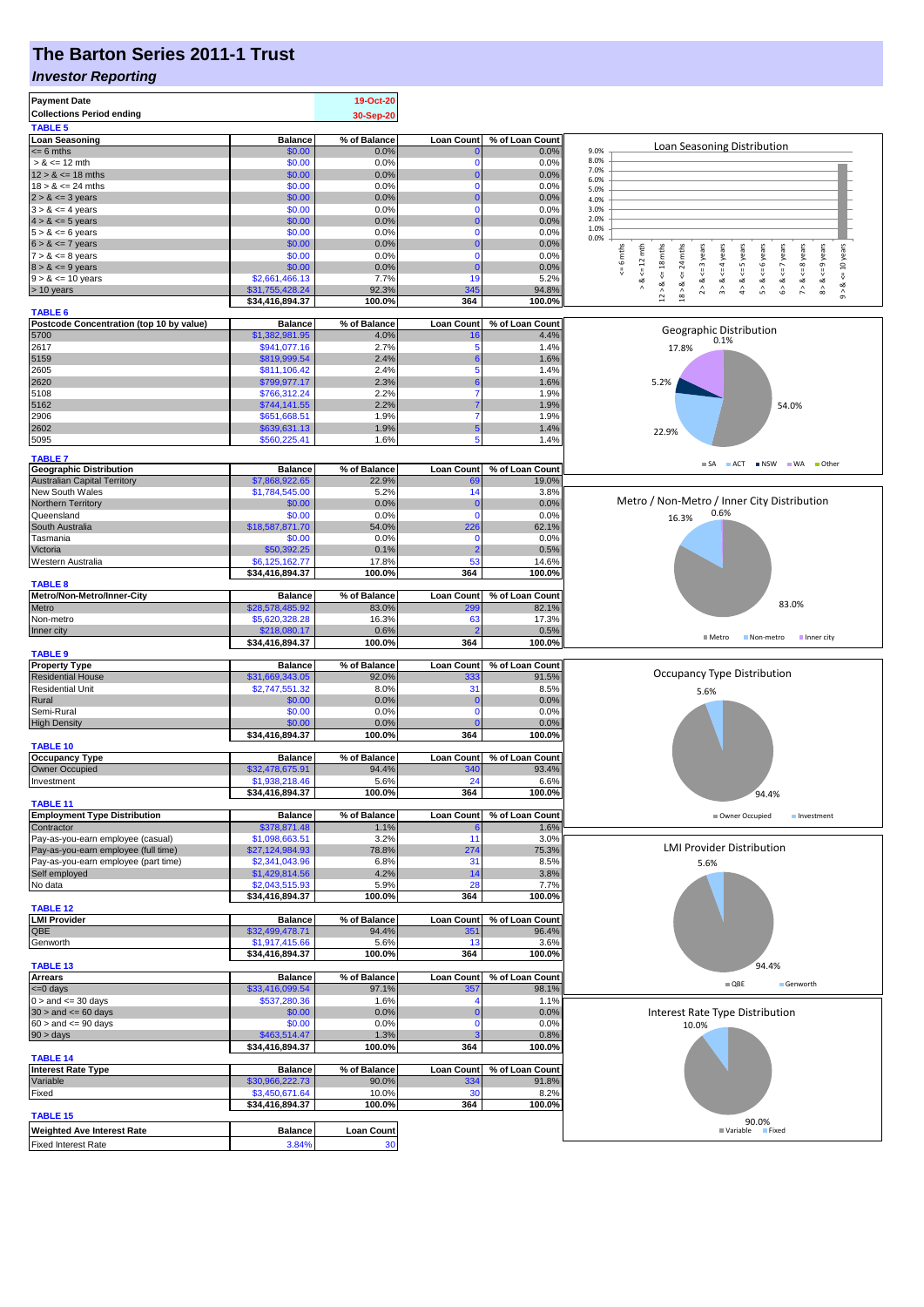## **The Barton Series 2011-1 Trust**

#### *Investor Reporting*

| <b>Payment Date</b><br><b>Collections Period ending</b><br><b>TABLE 5</b> |                                   | 19-Oct-20<br>30-Sep-20 |                            |                          |                                                                                                                                                                                   |  |  |
|---------------------------------------------------------------------------|-----------------------------------|------------------------|----------------------------|--------------------------|-----------------------------------------------------------------------------------------------------------------------------------------------------------------------------------|--|--|
| <b>Loan Seasoning</b>                                                     | <b>Balance</b>                    | % of Balance           | <b>Loan Count</b>          | % of Loan Count          |                                                                                                                                                                                   |  |  |
| $= 6$ mths                                                                | \$0.00                            | 0.0%                   |                            | 0.0%                     | Loan Seasoning Distribution<br>9.0%                                                                                                                                               |  |  |
| $> 8 \le 12$ mth                                                          | \$0.00                            | 0.0%                   | $\Omega$                   | 0.0%                     | 8.0%<br>7.0%                                                                                                                                                                      |  |  |
| $12 > 8 \le 18$ mths                                                      | \$0.00                            | 0.0%                   | $\mathbf 0$<br>$\Omega$    | 0.0%                     | 6.0%                                                                                                                                                                              |  |  |
| $18 > 8 \le 24$ mths<br>$2 > 8 \le 3$ years                               | \$0.00<br>\$0.00                  | 0.0%<br>0.0%           | $\Omega$                   | 0.0%<br>0.0%             | 5.0%<br>4.0%                                                                                                                                                                      |  |  |
| $3 > 8 \le 4$ years                                                       | \$0.00                            | 0.0%                   | $\Omega$                   | 0.0%                     | 3.0%                                                                                                                                                                              |  |  |
| $4 > 8 \le 5$ years                                                       | \$0.00                            | 0.0%                   | $\Omega$                   | 0.0%                     | 2.0%                                                                                                                                                                              |  |  |
| $5 > 8 \le 6$ years                                                       | \$0.00                            | 0.0%                   | $\Omega$                   | 0.0%                     | 1.0%<br>0.0%                                                                                                                                                                      |  |  |
| $6 > 8 \le 7$ years                                                       | \$0.00                            | 0.0%                   | $\Omega$                   | 0.0%                     | $\leq$ 9 years                                                                                                                                                                    |  |  |
| $7 > 8 \le 8$ years<br>$8 > 8 \le 9$ years                                | \$0.00<br>\$0.00                  | 0.0%<br>0.0%           | $\mathbf{0}$<br>$\Omega$   | 0.0%<br>0.0%             | $x = 6$ mths<br>24 mths<br>6 years<br>$\leq$ 8 years<br>$\leq 12$ mth                                                                                                             |  |  |
| $9 > 8 \le 10$ years                                                      | \$2,661,466.13                    | 7.7%                   | 19                         | 5.2%                     | $<=$ 3 years<br>$6 > 8 < = 7$ years<br>$\le$ = 10 years<br>$12 > 8 \le 18$ mths<br>$<= 4$ years<br>$4 > 8 < z = 5$ years<br>5 > 8 < z                                             |  |  |
| > 10 years                                                                | \$31,755,428.24                   | 92.3%                  | 345                        | 94.8%                    | $18 > 8 \leq x$<br>$8 - 8$<br>$\frac{8}{1}$<br>7 > 8<br>య<br>$\stackrel{\scriptstyle >}{\scriptstyle \scriptstyle \sim}$<br>$\stackrel{\wedge}{\scriptstyle\pi}$<br>$\hat{\circ}$ |  |  |
|                                                                           | \$34,416,894.37                   | 100.0%                 | 364                        | 100.0%                   |                                                                                                                                                                                   |  |  |
| <b>TABLE 6</b>                                                            |                                   |                        |                            |                          |                                                                                                                                                                                   |  |  |
| Postcode Concentration (top 10 by value)<br>5700                          | <b>Balance</b><br>\$1,382,981.95  | % of Balance<br>4.0%   | <b>Loan Count</b>          | % of Loan Count<br>4.4%  | Geographic Distribution                                                                                                                                                           |  |  |
| 2617                                                                      | \$941,077.16                      | 2.7%                   | 5                          | 1.4%                     | 0.1%<br>17.8%                                                                                                                                                                     |  |  |
| 5159                                                                      | \$819,999.54                      | 2.4%                   |                            | 1.6%                     |                                                                                                                                                                                   |  |  |
| 2605                                                                      | \$811,106.42                      | 2.4%                   | 5                          | 1.4%                     |                                                                                                                                                                                   |  |  |
| 2620                                                                      | \$799,977.17                      | 2.3%                   |                            | 1.6%                     | 5.2%                                                                                                                                                                              |  |  |
| 5108                                                                      | \$766,312.24                      | 2.2%                   | $\overline{7}$             | 1.9%                     |                                                                                                                                                                                   |  |  |
| 5162                                                                      | \$744,141.55                      | 2.2%                   | $\overline{7}$             | 1.9%                     | 54.0%                                                                                                                                                                             |  |  |
| 2906<br>2602                                                              | \$651,668.51<br>\$639,631.13      | 1.9%<br>1.9%           | $5\phantom{1}$             | 1.9%<br>1.4%             |                                                                                                                                                                                   |  |  |
| 5095                                                                      | \$560,225.41                      | 1.6%                   | 5                          | 1.4%                     | 22.9%                                                                                                                                                                             |  |  |
|                                                                           |                                   |                        |                            |                          |                                                                                                                                                                                   |  |  |
| <b>TABLE 7</b><br><b>Geographic Distribution</b>                          | <b>Balance</b>                    | % of Balance           | <b>Loan Count</b>          | % of Loan Count          | ACT NSW WA Other<br>$\blacksquare$ SA                                                                                                                                             |  |  |
| <b>Australian Capital Territory</b>                                       | \$7,868,922.65                    | 22.9%                  | 69                         | 19.0%                    |                                                                                                                                                                                   |  |  |
| New South Wales                                                           | \$1,784,545.00                    | 5.2%                   | 14                         | 3.8%                     |                                                                                                                                                                                   |  |  |
| Northern Territory                                                        | \$0.00                            | 0.0%                   | C                          | 0.0%                     | Metro / Non-Metro / Inner City Distribution                                                                                                                                       |  |  |
| Queensland                                                                | \$0.00                            | 0.0%                   | $\Omega$                   | 0.0%                     | 0.6%<br>16.3%                                                                                                                                                                     |  |  |
| South Australia                                                           | \$18,587,871.70                   | 54.0%                  | 226                        | 62.1%                    |                                                                                                                                                                                   |  |  |
| Tasmania<br>Victoria                                                      | \$0.00<br>\$50,392.25             | 0.0%<br>0.1%           | $\Omega$<br>$\overline{2}$ | 0.0%<br>0.5%             |                                                                                                                                                                                   |  |  |
| Western Australia                                                         | \$6,125,162.77                    | 17.8%                  | 53                         | 14.6%                    |                                                                                                                                                                                   |  |  |
|                                                                           | \$34,416,894.37                   | 100.0%                 | 364                        | 100.0%                   |                                                                                                                                                                                   |  |  |
| <b>TABLE 8</b>                                                            |                                   |                        |                            |                          |                                                                                                                                                                                   |  |  |
| Metro/Non-Metro/Inner-City                                                | <b>Balance</b>                    | % of Balance           | <b>Loan Count</b>          | % of Loan Count          | 83.0%                                                                                                                                                                             |  |  |
| Metro<br>Non-metro                                                        | \$28,578,485.92<br>\$5,620,328.28 | 83.0%<br>16.3%         | 299<br>63                  | 82.1%<br>17.3%           |                                                                                                                                                                                   |  |  |
| Inner city                                                                | \$218,080.17                      | 0.6%                   |                            | 0.5%                     |                                                                                                                                                                                   |  |  |
|                                                                           | \$34,416,894.37                   | 100.0%                 | 364                        | 100.0%                   | <b>■</b> Metro<br>Non-metro<br>Inner city                                                                                                                                         |  |  |
| <b>TABLE 9</b>                                                            |                                   |                        |                            |                          |                                                                                                                                                                                   |  |  |
| <b>Property Type</b>                                                      | <b>Balance</b>                    | % of Balance           | <b>Loan Count</b>          | % of Loan Count          |                                                                                                                                                                                   |  |  |
| <b>Residential House</b>                                                  | \$31,669,343.05                   | 92.0%                  | 333                        | 91.5%                    | Occupancy Type Distribution<br>5.6%                                                                                                                                               |  |  |
| <b>Residential Unit</b><br>Rural                                          | \$2,747,551.32<br>\$0.00          | 8.0%<br>0.0%           | 31<br>$\Omega$             | 8.5%<br>0.0%             |                                                                                                                                                                                   |  |  |
| Semi-Rural                                                                | \$0.00                            | 0.0%                   | $\Omega$                   | 0.0%                     |                                                                                                                                                                                   |  |  |
| <b>High Density</b>                                                       | \$0.00                            | 0.0%                   |                            | 0.0%                     |                                                                                                                                                                                   |  |  |
|                                                                           | \$34,416,894.37                   | 100.0%                 | 364                        | 100.0%                   |                                                                                                                                                                                   |  |  |
| <b>TABLE 10</b>                                                           |                                   |                        |                            |                          |                                                                                                                                                                                   |  |  |
| <b>Occupancy Type</b><br>Owner Occupied                                   | <b>Balance</b><br>\$32,478,675.91 | % of Balance<br>94.4%  | <b>Loan Count</b><br>340   | % of Loan Count<br>93.4% |                                                                                                                                                                                   |  |  |
| Investment                                                                | \$1,938,218.46                    | 5.6%                   | 24                         | 6.6%                     |                                                                                                                                                                                   |  |  |
|                                                                           | \$34,416,894.37                   | 100.0%                 | 364                        | 100.0%                   | 94.4%                                                                                                                                                                             |  |  |
| <b>TABLE 11</b>                                                           |                                   |                        |                            |                          |                                                                                                                                                                                   |  |  |
| <b>Employment Type Distribution</b><br>Contractor                         | <b>Balance</b><br>\$378,871.48    | % of Balance<br>1.1%   | <b>Loan Count</b>          | % of Loan Count<br>1.6%  | Owner Occupied<br>Investment                                                                                                                                                      |  |  |
| Pay-as-you-earn employee (casual)                                         | \$1,098,663.51                    | 3.2%                   | 11                         | 3.0%                     |                                                                                                                                                                                   |  |  |
| Pay-as-you-earn employee (full time)                                      | \$27,124,984.93                   | 78.8%                  | 274                        | 75.3%                    | <b>LMI Provider Distribution</b>                                                                                                                                                  |  |  |
| Pay-as-you-earn employee (part time)                                      | \$2,341,043.96                    | 6.8%                   | 31                         | 8.5%                     | 5.6%                                                                                                                                                                              |  |  |
| Self employed                                                             | \$1,429,814.56                    | 4.2%                   | 14                         | 3.8%                     |                                                                                                                                                                                   |  |  |
| No data                                                                   | \$2,043,515.93                    | 5.9%                   | 28                         | 7.7%<br>100.0%           |                                                                                                                                                                                   |  |  |
| <b>TABLE 12</b>                                                           | \$34,416,894.37                   | 100.0%                 | 364                        |                          |                                                                                                                                                                                   |  |  |
| <b>LMI Provider</b>                                                       | <b>Balance</b>                    | % of Balance           | <b>Loan Count</b>          | % of Loan Count          |                                                                                                                                                                                   |  |  |
| QBE                                                                       | \$32,499,478.71                   | 94.4%                  | 351                        | 96.4%                    |                                                                                                                                                                                   |  |  |
| Genworth                                                                  | \$1,917,415.66                    | 5.6%                   | 13                         | 3.6%                     |                                                                                                                                                                                   |  |  |
|                                                                           | \$34,416,894.37                   | 100.0%                 | 364                        | 100.0%                   |                                                                                                                                                                                   |  |  |
| TABLE <sub>13</sub><br><b>Arrears</b>                                     | <b>Balance</b>                    | % of Balance           | <b>Loan Count</b>          | % of Loan Count          | 94.4%                                                                                                                                                                             |  |  |
| <= 0 days                                                                 | \$33,416,099.54                   | 97.1%                  | 357                        | 98.1%                    | $\blacksquare$ QBE<br>Genworth                                                                                                                                                    |  |  |
| $0 >$ and $\leq$ 30 days                                                  | \$537,280.36                      | 1.6%                   |                            | 1.1%                     |                                                                                                                                                                                   |  |  |
| $30 >$ and $\leq 60$ days                                                 | \$0.00                            | 0.0%                   | $\Omega$                   | 0.0%                     | Interest Rate Type Distribution                                                                                                                                                   |  |  |
| $60 >$ and $\leq 90$ days                                                 | \$0.00                            | 0.0%                   | $\Omega$                   | 0.0%                     | 10.0%                                                                                                                                                                             |  |  |
| 90 > days                                                                 | \$463,514.47                      | 1.3%                   |                            | 0.8%                     |                                                                                                                                                                                   |  |  |
| <b>TABLE 14</b>                                                           | \$34,416,894.37                   | 100.0%                 | 364                        | 100.0%                   |                                                                                                                                                                                   |  |  |
| <b>Interest Rate Type</b>                                                 | <b>Balance</b>                    | % of Balance           | <b>Loan Count</b>          | % of Loan Count          |                                                                                                                                                                                   |  |  |
| Variable                                                                  | \$30,966,222.73                   | 90.0%                  | 334                        | 91.8%                    |                                                                                                                                                                                   |  |  |
| Fixed                                                                     | \$3,450,671.64                    | 10.0%                  | 30                         | 8.2%                     |                                                                                                                                                                                   |  |  |
|                                                                           | \$34,416,894.37                   | 100.0%                 | 364                        | 100.0%                   |                                                                                                                                                                                   |  |  |
| <b>TABLE 15</b>                                                           |                                   |                        |                            |                          | 90.0%                                                                                                                                                                             |  |  |
| <b>Weighted Ave Interest Rate</b>                                         | <b>Balance</b>                    | <b>Loan Count</b>      |                            |                          | <b>■ Variable</b><br><b>Fixed</b>                                                                                                                                                 |  |  |
| <b>Fixed Interest Rate</b>                                                | 3.84%                             | 30                     |                            |                          |                                                                                                                                                                                   |  |  |